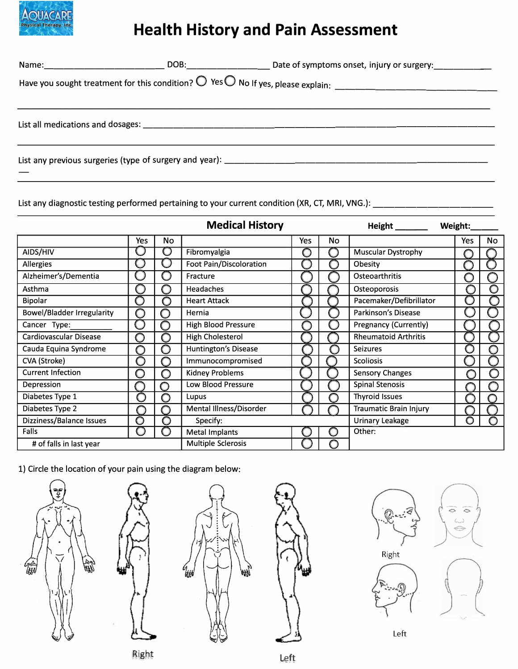

## **Health History and Pain Assessment**

List any diagnostic testing performed pertaining to your current condition (XR, CT, MRI, VNG.):  $\overline{\phantom{a}}$ 

|                                   |     |            | <b>Medical History</b>         |     |    |                               | Weight: |     |    |
|-----------------------------------|-----|------------|--------------------------------|-----|----|-------------------------------|---------|-----|----|
|                                   | Yes | No         |                                | Yes | No |                               |         | Yes | No |
| AIDS/HIV                          |     | O          | Fibromyalgia                   | С   |    | <b>Muscular Dystrophy</b>     |         |     |    |
| <b>Allergies</b>                  |     |            | <b>Foot Pain/Discoloration</b> |     |    | Obesity                       |         |     |    |
| Alzheimer's/Dementia              |     |            | Fracture                       |     |    | Osteoarthritis                |         |     |    |
| Asthma                            |     |            | <b>Headaches</b>               |     |    | Osteoporosis                  |         |     | O  |
| <b>Bipolar</b>                    | O   | $\bigcirc$ | <b>Heart Attack</b>            |     |    | Pacemaker/Defibrillator       |         |     |    |
| <b>Bowel/Bladder Irregularity</b> | O   | ∩          | Hernia                         |     |    | Parkinson's Disease           |         |     |    |
| Cancer Type:                      |     | ∩          | <b>High Blood Pressure</b>     |     |    | <b>Pregnancy (Currently)</b>  |         |     |    |
| Cardiovascular Disease            | O   | O          | High Cholesterol               |     |    | <b>Rheumatoid Arthritis</b>   |         |     |    |
| Cauda Equina Syndrome             | ∩   | O          | Huntington's Disease           |     |    | <b>Seizures</b>               |         |     |    |
| CVA (Stroke)                      | O   | ( )        | Immunocompromised              |     |    | <b>Scoliosis</b>              |         |     |    |
| <b>Current Infection</b>          | O   | O          | <b>Kidney Problems</b>         |     |    | <b>Sensory Changes</b>        |         | O   |    |
| Depression                        |     | ∩          | Low Blood Pressure             |     |    | <b>Spinal Stenosis</b>        |         |     |    |
| Diabetes Type 1                   | O   | O          | Lupus                          |     |    | <b>Thyroid Issues</b>         |         |     |    |
| Diabetes Type 2                   |     | ( )        | Mental Illness/Disorder        |     |    | <b>Traumatic Brain Injury</b> |         |     |    |
| Dizziness/Balance Issues          | O   | n          | Specify:                       |     |    | <b>Urinary Leakage</b>        |         | 0   |    |
| Falls                             |     |            | <b>Metal Implants</b>          |     | O  | Other:                        |         |     |    |
| # of falls in last year           |     |            | <b>Multiple Sclerosis</b>      |     |    |                               |         |     |    |

1) Circle the location of your pain using the diagram below:











Left

Right Left